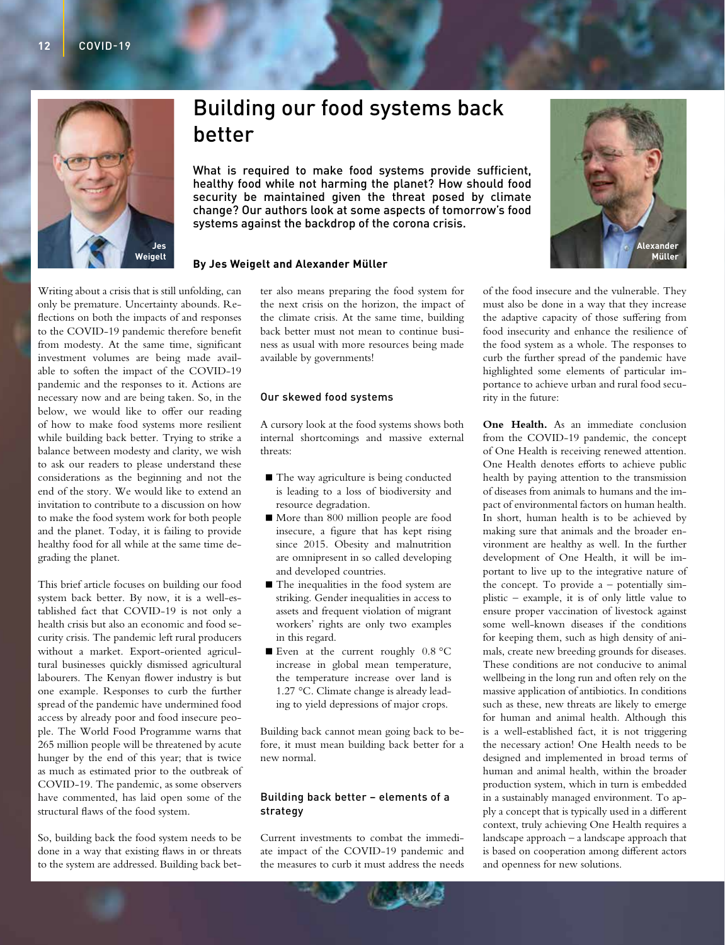

# Building our food systems back better

What is required to make food systems provide sufficient. healthy food while not harming the planet? How should food security be maintained given the threat posed by climate change? Our authors look at some aspects of tomorrow's food systems against the backdrop of the corona crisis.

## **By Jes Weigelt and Alexander Müller**

Writing about a crisis that is still unfolding, can only be premature. Uncertainty abounds. Reflections on both the impacts of and responses to the COVID-19 pandemic therefore benefit from modesty. At the same time, significant investment volumes are being made available to soften the impact of the COVID-19 pandemic and the responses to it. Actions are necessary now and are being taken. So, in the below, we would like to offer our reading of how to make food systems more resilient while building back better. Trying to strike a balance between modesty and clarity, we wish to ask our readers to please understand these considerations as the beginning and not the end of the story. We would like to extend an invitation to contribute to a discussion on how to make the food system work for both people and the planet. Today, it is failing to provide healthy food for all while at the same time degrading the planet.

This brief article focuses on building our food system back better. By now, it is a well-established fact that COVID-19 is not only a health crisis but also an economic and food security crisis. The pandemic left rural producers without a market. Export-oriented agricultural businesses quickly dismissed agricultural labourers. The Kenyan flower industry is but one example. Responses to curb the further spread of the pandemic have undermined food access by already poor and food insecure people. The World Food Programme warns that 265 million people will be threatened by acute hunger by the end of this year; that is twice as much as estimated prior to the outbreak of COVID-19. The pandemic, as some observers have commented, has laid open some of the structural flaws of the food system.

So, building back the food system needs to be done in a way that existing flaws in or threats to the system are addressed. Building back better also means preparing the food system for the next crisis on the horizon, the impact of the climate crisis. At the same time, building back better must not mean to continue business as usual with more resources being made available by governments!

## Our skewed food systems

A cursory look at the food systems shows both internal shortcomings and massive external threats:

- The way agriculture is being conducted is leading to a loss of biodiversity and resource degradation.
- More than 800 million people are food insecure, a figure that has kept rising since 2015. Obesity and malnutrition are omnipresent in so called developing and developed countries.
- The inequalities in the food system are striking. Gender inequalities in access to assets and frequent violation of migrant workers' rights are only two examples in this regard.
- Even at the current roughly  $0.8 \degree C$ increase in global mean temperature, the temperature increase over land is 1.27 °C. Climate change is already leading to yield depressions of major crops.

Building back cannot mean going back to before, it must mean building back better for a new normal.

## Building back better – elements of a strategy

Current investments to combat the immediate impact of the COVID-19 pandemic and the measures to curb it must address the needs of the food insecure and the vulnerable. They must also be done in a way that they increase the adaptive capacity of those suffering from food insecurity and enhance the resilience of the food system as a whole. The responses to curb the further spread of the pandemic have highlighted some elements of particular importance to achieve urban and rural food security in the future:

**One Health.** As an immediate conclusion from the COVID-19 pandemic, the concept of One Health is receiving renewed attention. One Health denotes efforts to achieve public health by paying attention to the transmission of diseases from animals to humans and the impact of environmental factors on human health. In short, human health is to be achieved by making sure that animals and the broader environment are healthy as well. In the further development of One Health, it will be important to live up to the integrative nature of the concept. To provide a – potentially simplistic – example, it is of only little value to ensure proper vaccination of livestock against some well-known diseases if the conditions for keeping them, such as high density of animals, create new breeding grounds for diseases. These conditions are not conducive to animal wellbeing in the long run and often rely on the massive application of antibiotics. In conditions such as these, new threats are likely to emerge for human and animal health. Although this is a well-established fact, it is not triggering the necessary action! One Health needs to be designed and implemented in broad terms of human and animal health, within the broader production system, which in turn is embedded in a sustainably managed environment. To apply a concept that is typically used in a different context, truly achieving One Health requires a landscape approach – a landscape approach that is based on cooperation among different actors and openness for new solutions.